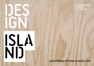

# ISLA<br>NDJ

## TASMANIAN<br>DESIGN<br>ALLIANCE

#### ADVERTISING OPTIONS & RATES 2012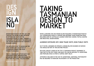# **ISLA ND**

Design:Made:Trade is on this July and through the Design Island initiative, re-introduced in 2012 by the Tasmanian Design Alliance, presents a wonderful opportunity for exposure and income generation for Tasmania s designer makers.

This initiative is set to showcase the most significant collection of Tasmanian designed and made products available.

This is a significant opportunity for Tasmanian design organisations, businesses, groups and individuals to take part in a large - focused event.

design-island.com.au

### TAKING TASMANIAN DESIGN TO MARKET

WE'RE LAUNCHING THE 2012 DESIGN ISLAND MAGAZINE AT Design:Made:Trade IN JULY. DESIGN:MADE:TRADE is a diverse and inspiring trade exhibition space. Including some of Australia's leading furniture, fashion, textile, graphic and industrial design brandS.

Audience exposure 2011: 3898 trade visits, 5038 public visits

SO IF YOU'RE A DESIGNER OR OPERATE A DESIGN RELATED BUSINESS OR SERVICE YOU SHOULD BE PART OF THIS EXCITING PROJECT.

WE HAVE ALREADY LOCKED IN THE TOP 14 TASMANIAN PRODUCT DESIGNERS TO TAKE PART IN THE D:M:T EVENT AND NOW YOU CAN BE INVOLVED TO. ADVERTISING AND PROFILING SPACE IS STRICTLY LIMITED. DON'T DELAY.

ARTWORK IS INCLUDED IN THE COST OF ADVERTISING. ADDITIONAL PHOTOGRAPHY MAY BE REQUIRED TO MAINTAIN THE INTEGRITY OF THE PRODUCTION.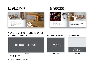#### SAMPLE PARTICIPATING 2 PAGE SPREAD\*



#### SAMPLE FEATURED FULL PAGE SPREAD



mdm jd suueth jsuj<br>mdm jd suue jsujs<br>mdm id suueth

**LINDA VAN NIEKERK** 

LINDA VAN NIEKERK

en sninsi n fth ytey sjku dk mdm jd suueth js<br>en sninsi n fth ytey sjku dk mdm jd suueth js<br>en coloci o fth wter cike dk mdm id currents is mam ja suuein pi<br>mdm jd suue jsujs<br>mdm jd suueth

#### ADVERTISING OPTIONS & RATES

FULL PAGE (FEATURED ADVERTORIAL)

\$550.00 INCLUDING ARTWORK

\$330.00

INCLUDING ARTWORK

#### FULL PAGE (DESIGNER) CALENDAR STRIP



500 x 210 mm 250 x 210 mm 250 x 140 mm

#### DEADLINES

BOOKING DEADLINE - MAY 30 2012